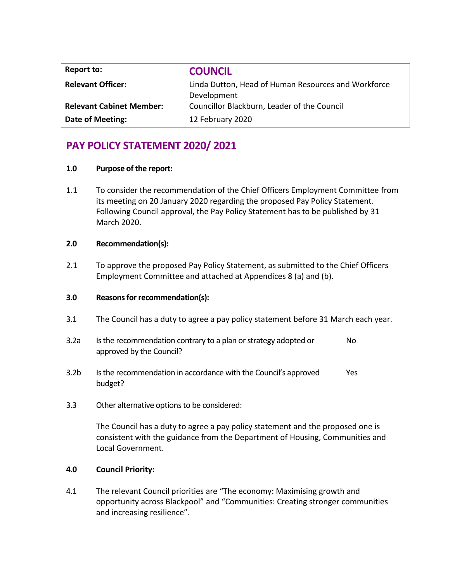| Report to:                      | <b>COUNCIL</b>                                                     |
|---------------------------------|--------------------------------------------------------------------|
| <b>Relevant Officer:</b>        | Linda Dutton, Head of Human Resources and Workforce<br>Development |
| <b>Relevant Cabinet Member:</b> | Councillor Blackburn, Leader of the Council                        |
| Date of Meeting:                | 12 February 2020                                                   |

# **PAY POLICY STATEMENT 2020/ 2021**

### **1.0 Purpose of the report:**

1.1 To consider the recommendation of the Chief Officers Employment Committee from its meeting on 20 January 2020 regarding the proposed Pay Policy Statement. Following Council approval, the Pay Policy Statement has to be published by 31 March 2020.

# **2.0 Recommendation(s):**

2.1 To approve the proposed Pay Policy Statement, as submitted to the Chief Officers Employment Committee and attached at Appendices 8 (a) and (b).

# **3.0 Reasons for recommendation(s):**

- 3.1 The Council has a duty to agree a pay policy statement before 31 March each year.
- 3.2a Is the recommendation contrary to a plan or strategy adopted or approved by the Council? No
- 3.2b Is the recommendation in accordance with the Council's approved budget? Yes
- 3.3 Other alternative options to be considered:

The Council has a duty to agree a pay policy statement and the proposed one is consistent with the guidance from the Department of Housing, Communities and Local Government.

### **4.0 Council Priority:**

4.1 The relevant Council priorities are "The economy: Maximising growth and opportunity across Blackpool" and "Communities: Creating stronger communities and increasing resilience".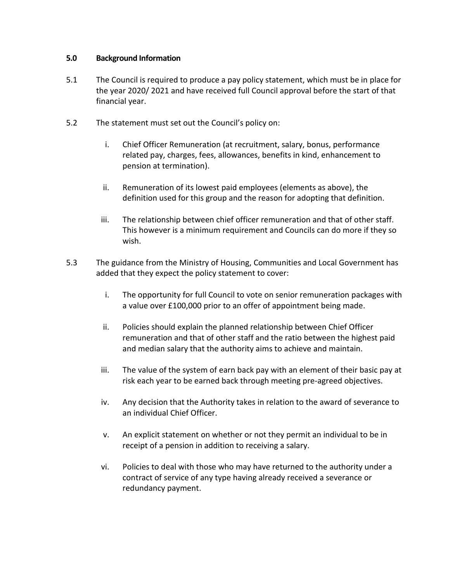### **5.0 Background Information**

- 5.1 The Council is required to produce a pay policy statement, which must be in place for the year 2020/ 2021 and have received full Council approval before the start of that financial year.
- 5.2 The statement must set out the Council's policy on:
	- i. Chief Officer Remuneration (at recruitment, salary, bonus, performance related pay, charges, fees, allowances, benefits in kind, enhancement to pension at termination).
	- ii. Remuneration of its lowest paid employees (elements as above), the definition used for this group and the reason for adopting that definition.
	- iii. The relationship between chief officer remuneration and that of other staff. This however is a minimum requirement and Councils can do more if they so wish.
- 5.3 The guidance from the Ministry of Housing, Communities and Local Government has added that they expect the policy statement to cover:
	- i. The opportunity for full Council to vote on senior remuneration packages with a value over £100,000 prior to an offer of appointment being made.
	- ii. Policies should explain the planned relationship between Chief Officer remuneration and that of other staff and the ratio between the highest paid and median salary that the authority aims to achieve and maintain.
	- iii. The value of the system of earn back pay with an element of their basic pay at risk each year to be earned back through meeting pre-agreed objectives.
	- iv. Any decision that the Authority takes in relation to the award of severance to an individual Chief Officer.
	- v. An explicit statement on whether or not they permit an individual to be in receipt of a pension in addition to receiving a salary.
	- vi. Policies to deal with those who may have returned to the authority under a contract of service of any type having already received a severance or redundancy payment.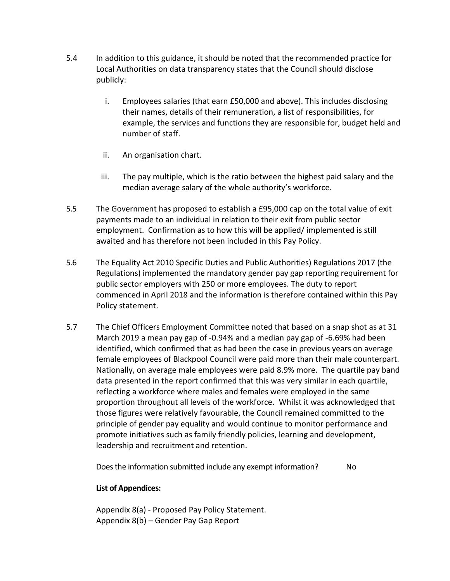- 5.4 In addition to this guidance, it should be noted that the recommended practice for Local Authorities on data transparency states that the Council should disclose publicly:
	- i. Employees salaries (that earn £50,000 and above). This includes disclosing their names, details of their remuneration, a list of responsibilities, for example, the services and functions they are responsible for, budget held and number of staff.
	- ii. An organisation chart.
	- iii. The pay multiple, which is the ratio between the highest paid salary and the median average salary of the whole authority's workforce.
- 5.5 The Government has proposed to establish a £95,000 cap on the total value of exit payments made to an individual in relation to their exit from public sector employment. Confirmation as to how this will be applied/ implemented is still awaited and has therefore not been included in this Pay Policy.
- 5.6 The Equality Act 2010 Specific Duties and Public Authorities) Regulations 2017 (the Regulations) implemented the mandatory gender pay gap reporting requirement for public sector employers with 250 or more employees. The duty to report commenced in April 2018 and the information is therefore contained within this Pay Policy statement.
- 5.7 The Chief Officers Employment Committee noted that based on a snap shot as at 31 March 2019 a mean pay gap of -0.94% and a median pay gap of -6.69% had been identified, which confirmed that as had been the case in previous years on average female employees of Blackpool Council were paid more than their male counterpart. Nationally, on average male employees were paid 8.9% more. The quartile pay band data presented in the report confirmed that this was very similar in each quartile, reflecting a workforce where males and females were employed in the same proportion throughout all levels of the workforce. Whilst it was acknowledged that those figures were relatively favourable, the Council remained committed to the principle of gender pay equality and would continue to monitor performance and promote initiatives such as family friendly policies, learning and development, leadership and recruitment and retention.

Does the information submitted include any exempt information? No

# **List of Appendices:**

Appendix 8(a) - Proposed Pay Policy Statement. Appendix 8(b) – Gender Pay Gap Report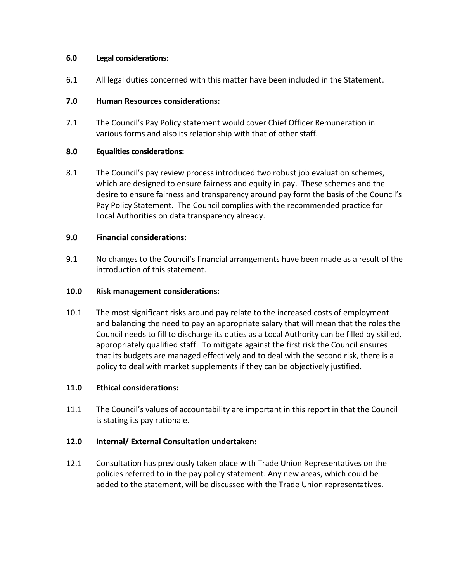### **6.0 Legal considerations:**

6.1 All legal duties concerned with this matter have been included in the Statement.

# **7.0 Human Resources considerations:**

7.1 The Council's Pay Policy statement would cover Chief Officer Remuneration in various forms and also its relationship with that of other staff.

# **8.0 Equalities considerations:**

8.1 The Council's pay review process introduced two robust job evaluation schemes, which are designed to ensure fairness and equity in pay. These schemes and the desire to ensure fairness and transparency around pay form the basis of the Council's Pay Policy Statement. The Council complies with the recommended practice for Local Authorities on data transparency already.

# **9.0 Financial considerations:**

9.1 No changes to the Council's financial arrangements have been made as a result of the introduction of this statement.

### **10.0 Risk management considerations:**

10.1 The most significant risks around pay relate to the increased costs of employment and balancing the need to pay an appropriate salary that will mean that the roles the Council needs to fill to discharge its duties as a Local Authority can be filled by skilled, appropriately qualified staff. To mitigate against the first risk the Council ensures that its budgets are managed effectively and to deal with the second risk, there is a policy to deal with market supplements if they can be objectively justified.

### **11.0 Ethical considerations:**

11.1 The Council's values of accountability are important in this report in that the Council is stating its pay rationale.

### **12.0 Internal/ External Consultation undertaken:**

12.1 Consultation has previously taken place with Trade Union Representatives on the policies referred to in the pay policy statement. Any new areas, which could be added to the statement, will be discussed with the Trade Union representatives.